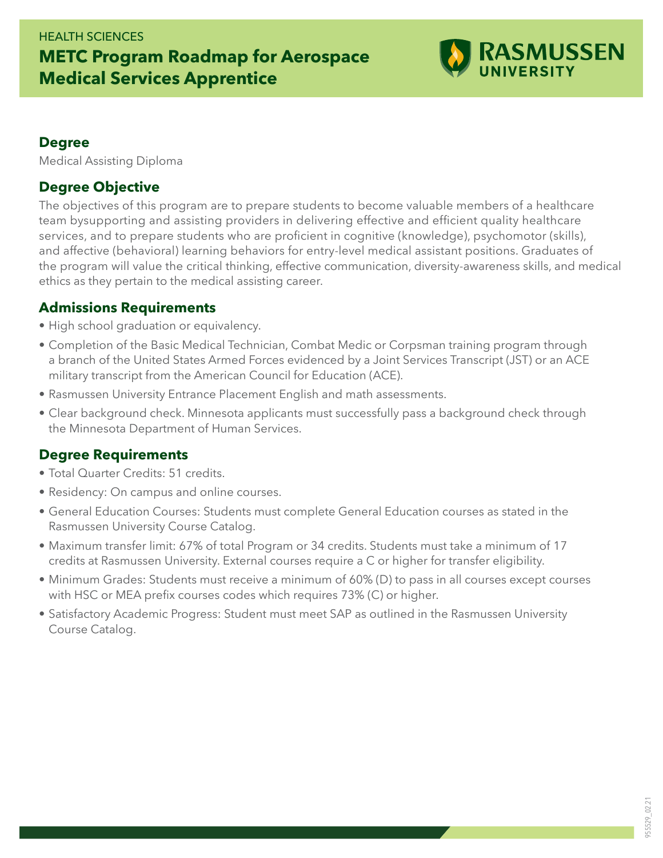## HEALTH SCIENCES **METC Program Roadmap for Aerospace Medical Services Apprentice**



#### **Degree**

Medical Assisting Diploma

#### **Degree Objective**

The objectives of this program are to prepare students to become valuable members of a healthcare team bysupporting and assisting providers in delivering effective and efficient quality healthcare services, and to prepare students who are proficient in cognitive (knowledge), psychomotor (skills), and affective (behavioral) learning behaviors for entry-level medical assistant positions. Graduates of the program will value the critical thinking, effective communication, diversity-awareness skills, and medical ethics as they pertain to the medical assisting career.

#### **Admissions Requirements**

- High school graduation or equivalency.
- Completion of the Basic Medical Technician, Combat Medic or Corpsman training program through a branch of the United States Armed Forces evidenced by a Joint Services Transcript (JST) or an ACE military transcript from the American Council for Education (ACE).
- Rasmussen University Entrance Placement English and math assessments.
- Clear background check. Minnesota applicants must successfully pass a background check through the Minnesota Department of Human Services.

### **Degree Requirements**

- Total Quarter Credits: 51 credits.
- Residency: On campus and online courses.
- General Education Courses: Students must complete General Education courses as stated in the Rasmussen University Course Catalog.
- Maximum transfer limit: 67% of total Program or 34 credits. Students must take a minimum of 17 credits at Rasmussen University. External courses require a C or higher for transfer eligibility.
- Minimum Grades: Students must receive a minimum of 60% (D) to pass in all courses except courses with HSC or MEA prefix courses codes which requires 73% (C) or higher.
- Satisfactory Academic Progress: Student must meet SAP as outlined in the Rasmussen University Course Catalog.